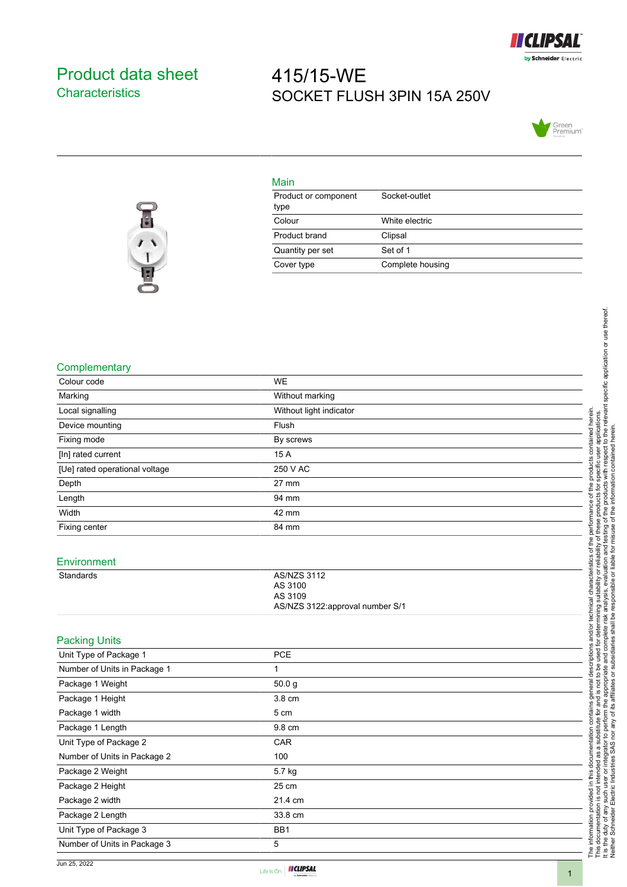

## <span id="page-0-0"></span>Product data sheet **Characteristics**

# 415/15-WE SOCKET FLUSH 3PIN 15A 250V





## Main

| Product or component<br>type | Socket-outlet    |
|------------------------------|------------------|
| Colour                       | White electric   |
| Product brand                | Clipsal          |
| Quantity per set             | Set of 1         |
| Cover type                   | Complete housing |

#### **Complementary**

| Complementary                  |                                 |                                                                                                                                                                                                                                     |
|--------------------------------|---------------------------------|-------------------------------------------------------------------------------------------------------------------------------------------------------------------------------------------------------------------------------------|
| Colour code                    | <b>WE</b>                       |                                                                                                                                                                                                                                     |
| Marking                        | Without marking                 |                                                                                                                                                                                                                                     |
| Local signalling               | Without light indicator         |                                                                                                                                                                                                                                     |
| Device mounting                | Flush                           | contained herein                                                                                                                                                                                                                    |
| Fixing mode                    | By screws                       |                                                                                                                                                                                                                                     |
| [In] rated current             | 15 A                            |                                                                                                                                                                                                                                     |
| [Ue] rated operational voltage | 250 V AC                        | products                                                                                                                                                                                                                            |
| Depth                          | $27 \text{ mm}$                 | of the                                                                                                                                                                                                                              |
| Length                         | 94 mm                           | ing suitability or reliability of these products for specific user applications.<br>analysis, evaluation and testing of the products with respect to the relevant specific application or use thereof.<br>responsible or liable for |
| Width                          | 42 mm                           | performance                                                                                                                                                                                                                         |
| Fixing center                  | 84 mm                           |                                                                                                                                                                                                                                     |
|                                |                                 | of the                                                                                                                                                                                                                              |
| Environment                    |                                 |                                                                                                                                                                                                                                     |
| Standards                      | <b>AS/NZS 3112</b>              | characteristics<br>analysis, evaluation                                                                                                                                                                                             |
|                                | AS 3100                         |                                                                                                                                                                                                                                     |
|                                | AS 3109                         |                                                                                                                                                                                                                                     |
|                                | AS/NZS 3122:approval number S/1 | technical                                                                                                                                                                                                                           |
|                                |                                 | determining<br>complete risk<br>and/or                                                                                                                                                                                              |
| <b>Packing Units</b>           |                                 | U,                                                                                                                                                                                                                                  |
| Unit Type of Package 1         | PCE                             | iption<br>pue                                                                                                                                                                                                                       |
| Number of Units in Package 1   | 1                               | descr<br>ഉ<br>$\overline{e}$<br>ೆ                                                                                                                                                                                                   |
| Package 1 Weight               | 50.0 <sub>g</sub>               | the appropriat<br>general<br>not                                                                                                                                                                                                    |
| Package 1 Height               | 3.8 cm                          | <u>ی</u><br>and                                                                                                                                                                                                                     |
| Package 1 width                | 5 cm                            | contains<br>₫                                                                                                                                                                                                                       |
| Package 1 Length               | 9.8 cm                          | perform<br>tute                                                                                                                                                                                                                     |
| Unit Type of Package 2         | CAR                             | this documentation<br>substit<br>or integrator to                                                                                                                                                                                   |
| Number of Units in Package 2   | 100                             | a<br>æ                                                                                                                                                                                                                              |
| Package 2 Weight               | 5.7 kg                          | The information provided in this docu<br>This documentation is not intended a<br>It is the duty of any such user or integ<br>Neither Schneider Electric Industries                                                                  |
| Package 2 Height               | 25 cm                           |                                                                                                                                                                                                                                     |
| Package 2 width                | 21.4 cm                         |                                                                                                                                                                                                                                     |
| Package 2 Length               | 33.8 cm                         |                                                                                                                                                                                                                                     |
| Unit Type of Package 3         | BB1                             |                                                                                                                                                                                                                                     |
| Number of Units in Package 3   | $\mathbf 5$                     |                                                                                                                                                                                                                                     |
|                                |                                 |                                                                                                                                                                                                                                     |

Life Is On | II CLIPSAL